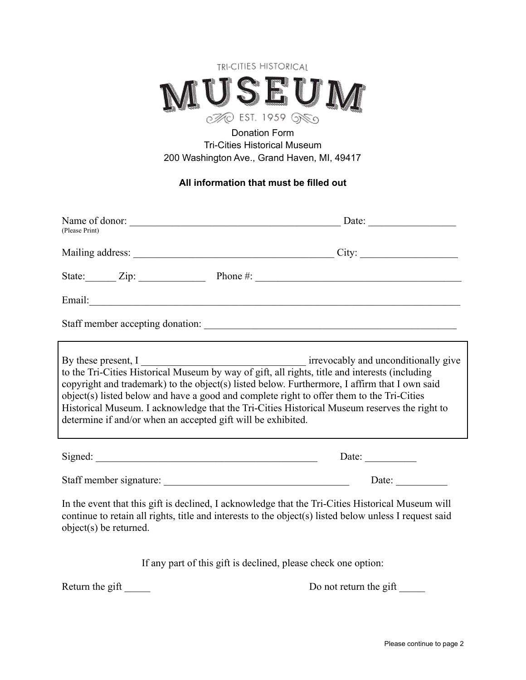

## Donation Form Tri-Cities Historical Museum 200 Washington Ave., Grand Haven, MI, 49417

#### **All information that must be filled out**

| (Please Print)                                                                                                                                                                                                                       |                                                                                                                                                                                                                                                                                                                                                                                                                                                          |
|--------------------------------------------------------------------------------------------------------------------------------------------------------------------------------------------------------------------------------------|----------------------------------------------------------------------------------------------------------------------------------------------------------------------------------------------------------------------------------------------------------------------------------------------------------------------------------------------------------------------------------------------------------------------------------------------------------|
|                                                                                                                                                                                                                                      |                                                                                                                                                                                                                                                                                                                                                                                                                                                          |
|                                                                                                                                                                                                                                      | State: $\qquad \qquad \text{Zip:}$ Phone #: $\qquad \qquad \text{Pence }$                                                                                                                                                                                                                                                                                                                                                                                |
|                                                                                                                                                                                                                                      |                                                                                                                                                                                                                                                                                                                                                                                                                                                          |
|                                                                                                                                                                                                                                      |                                                                                                                                                                                                                                                                                                                                                                                                                                                          |
| determine if and/or when an accepted gift will be exhibited.                                                                                                                                                                         | By these present, I irrevocably and unconditionally give<br>to the Tri-Cities Historical Museum by way of gift, all rights, title and interests (including<br>copyright and trademark) to the object(s) listed below. Furthermore, I affirm that I own said<br>object(s) listed below and have a good and complete right to offer them to the Tri-Cities<br>Historical Museum. I acknowledge that the Tri-Cities Historical Museum reserves the right to |
| Signed: <u>and a set of the set of the set of the set of the set of the set of the set of the set of the set of the set of the set of the set of the set of the set of the set of the set of the set of the set of the set of th</u> | Date: $\qquad \qquad$                                                                                                                                                                                                                                                                                                                                                                                                                                    |
|                                                                                                                                                                                                                                      |                                                                                                                                                                                                                                                                                                                                                                                                                                                          |
| object(s) be returned.                                                                                                                                                                                                               | In the event that this gift is declined, I acknowledge that the Tri-Cities Historical Museum will<br>continue to retain all rights, title and interests to the object(s) listed below unless I request said                                                                                                                                                                                                                                              |
|                                                                                                                                                                                                                                      | If any part of this gift is declined, please check one option:                                                                                                                                                                                                                                                                                                                                                                                           |
| Return the gift                                                                                                                                                                                                                      | Do not return the gift                                                                                                                                                                                                                                                                                                                                                                                                                                   |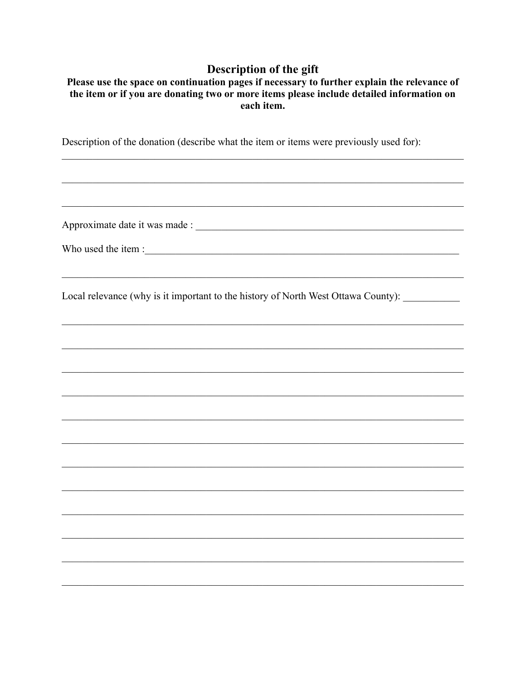# Description of the gift

| Please use the space on continuation pages if necessary to further explain the relevance of |
|---------------------------------------------------------------------------------------------|
| the item or if you are donating two or more items please include detailed information on    |
| each item.                                                                                  |

,我们也不能在这里的人,我们也不能在这里的人,我们也不能在这里的人,我们也不能在这里的人,我们也不能在这里的人,我们也不能在这里的人,我们也不能在这里的人,我们也

Description of the donation (describe what the item or items were previously used for):

Local relevance (why is it important to the history of North West Ottawa County): \_\_\_\_\_\_\_\_\_\_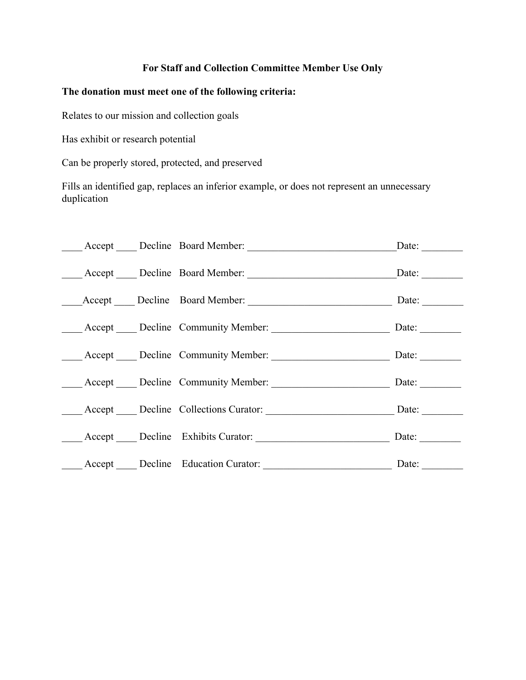### **For Staff and Collection Committee Member Use Only**

### **The donation must meet one of the following criteria:**

Relates to our mission and collection goals

Has exhibit or research potential

Can be properly stored, protected, and preserved

Fills an identified gap, replaces an inferior example, or does not represent an unnecessary duplication

| Accept Decline Board Member:                    | Date: $\qquad \qquad \qquad$ |
|-------------------------------------------------|------------------------------|
| Accept Decline Board Member: Due of Date: Date: |                              |
|                                                 | Date: $\_\_$                 |
|                                                 |                              |
| Accept Decline Community Member: Date: Date:    |                              |
| Accept Decline Community Member: Date: Date:    |                              |
|                                                 | Date: $\qquad \qquad$        |
| Accept Decline Exhibits Curator: Date: Date:    |                              |
| Accept Decline Education Curator: Date: Date:   |                              |